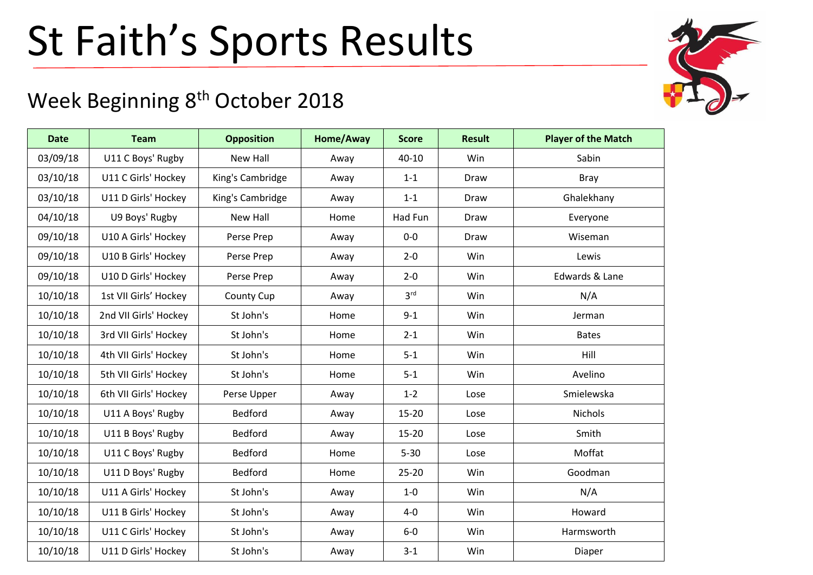## St Faith's Sports Results

## Week Beginning 8<sup>th</sup> October 2018

| <b>Date</b> | <b>Team</b>           | <b>Opposition</b> | Home/Away | <b>Score</b>    | <b>Result</b> | <b>Player of the Match</b> |
|-------------|-----------------------|-------------------|-----------|-----------------|---------------|----------------------------|
| 03/09/18    | U11 C Boys' Rugby     | <b>New Hall</b>   | Away      | 40-10           | Win           | Sabin                      |
| 03/10/18    | U11 C Girls' Hockey   | King's Cambridge  | Away      | $1 - 1$         | Draw          | <b>Bray</b>                |
| 03/10/18    | U11 D Girls' Hockey   | King's Cambridge  | Away      | $1 - 1$         | Draw          | Ghalekhany                 |
| 04/10/18    | U9 Boys' Rugby        | <b>New Hall</b>   | Home      | Had Fun         | Draw          | Everyone                   |
| 09/10/18    | U10 A Girls' Hockey   | Perse Prep        | Away      | $0-0$           | Draw          | Wiseman                    |
| 09/10/18    | U10 B Girls' Hockey   | Perse Prep        | Away      | $2 - 0$         | Win           | Lewis                      |
| 09/10/18    | U10 D Girls' Hockey   | Perse Prep        | Away      | $2 - 0$         | Win           | Edwards & Lane             |
| 10/10/18    | 1st VII Girls' Hockey | County Cup        | Away      | 3 <sup>rd</sup> | Win           | N/A                        |
| 10/10/18    | 2nd VII Girls' Hockey | St John's         | Home      | $9 - 1$         | <b>Win</b>    | Jerman                     |
| 10/10/18    | 3rd VII Girls' Hockey | St John's         | Home      | $2 - 1$         | Win           | <b>Bates</b>               |
| 10/10/18    | 4th VII Girls' Hockey | St John's         | Home      | $5 - 1$         | Win           | Hill                       |
| 10/10/18    | 5th VII Girls' Hockey | St John's         | Home      | $5 - 1$         | Win           | Avelino                    |
| 10/10/18    | 6th VII Girls' Hockey | Perse Upper       | Away      | $1 - 2$         | Lose          | Smielewska                 |
| 10/10/18    | U11 A Boys' Rugby     | <b>Bedford</b>    | Away      | $15 - 20$       | Lose          | <b>Nichols</b>             |
| 10/10/18    | U11 B Boys' Rugby     | Bedford           | Away      | $15 - 20$       | Lose          | Smith                      |
| 10/10/18    | U11 C Boys' Rugby     | Bedford           | Home      | $5 - 30$        | Lose          | Moffat                     |
| 10/10/18    | U11 D Boys' Rugby     | Bedford           | Home      | $25 - 20$       | Win           | Goodman                    |
| 10/10/18    | U11 A Girls' Hockey   | St John's         | Away      | $1-0$           | Win           | N/A                        |
| 10/10/18    | U11 B Girls' Hockey   | St John's         | Away      | $4-0$           | Win           | Howard                     |
| 10/10/18    | U11 C Girls' Hockey   | St John's         | Away      | $6-0$           | Win           | Harmsworth                 |
| 10/10/18    | U11 D Girls' Hockey   | St John's         | Away      | $3 - 1$         | Win           | Diaper                     |